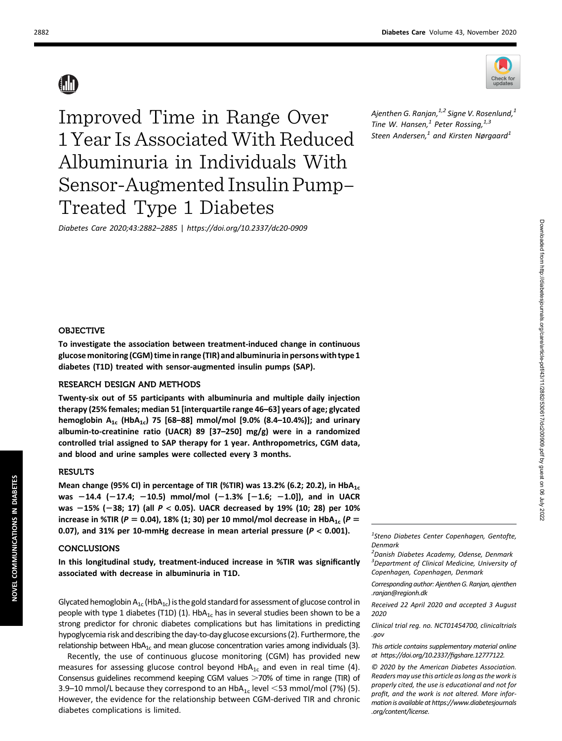

Ajenthen G. Ranjan, $^{1,2}$  Signe V. Rosenlund, $^{1}$ Tine W. Hansen, $<sup>1</sup>$  Peter Rossing, $<sup>1,3</sup>$ </sup></sup> Steen Andersen, $1$  and Kirsten Nørgaard $1$ 

Improved Time in Range Over 1 Year Is Associated With Reduced Albuminuria in Individuals With Sensor-Augmented Insulin Pump– Treated Type 1 Diabetes

Diabetes Care 2020;43:2882–2885 | <https://doi.org/10.2337/dc20-0909>

### OBJECTIVE

To investigate the association between treatment-induced change in continuous glucosemonitoring (CGM) time in range (TIR) and albuminuria in persons with type 1 diabetes (T1D) treated with sensor-augmented insulin pumps (SAP).

# RESEARCH DESIGN AND METHODS

Twenty-six out of 55 participants with albuminuria and multiple daily injection therapy (25% females; median 51 [interquartile range 46–63] years of age; glycated hemoglobin  $A_{1c}$  (Hb $A_{1c}$ ) 75 [68-88] mmol/mol [9.0% (8.4-10.4%)]; and urinary albumin-to-creatinine ratio (UACR) 89 [37–250] mg/g) were in a randomized controlled trial assigned to SAP therapy for 1 year. Anthropometrics, CGM data, and blood and urine samples were collected every 3 months.

#### RESULTS

Mean change (95% CI) in percentage of TIR (%TIR) was 13.2% (6.2; 20.2), in HbA<sub>1c</sub> was  $-14.4$  (-17.4; -10.5) mmol/mol (-1.3% [-1.6; -1.0]), and in UACR was  $-15%$  (-38; 17) (all  $P < 0.05$ ). UACR decreased by 19% (10; 28) per 10% increase in %TIR ( $P = 0.04$ ), 18% (1; 30) per 10 mmol/mol decrease in HbA<sub>1c</sub> ( $P =$ 0.07), and 31% per 10-mmHg decrease in mean arterial pressure ( $P < 0.001$ ).

#### CONCLUSIONS

In this longitudinal study, treatment-induced increase in %TIR was significantly associated with decrease in albuminuria in T1D.

Glycated hemoglobin  $A_{1c}$  (HbA<sub>1c</sub>) is the gold standard for assessment of glucose control in people with type 1 diabetes (T1D) (1). Hb $A_{1c}$  has in several studies been shown to be a strong predictor for chronic diabetes complications but has limitations in predicting hypoglycemia risk and describing the day-to-day glucose excursions (2). Furthermore, the relationship between  $HbA_{1c}$  and mean glucose concentration varies among individuals (3).

Recently, the use of continuous glucose monitoring (CGM) has provided new measures for assessing glucose control beyond  $HbA_{1c}$  and even in real time (4). Consensus guidelines recommend keeping CGM values  $>70\%$  of time in range (TIR) of 3.9–10 mmol/L because they correspond to an  $HbA_{1c}$  level <53 mmol/mol (7%) (5). However, the evidence for the relationship between CGM-derived TIR and chronic diabetes complications is limited.

<sup>1</sup>Steno Diabetes Center Copenhagen, Gentofte, Denmark

<sup>2</sup> Danish Diabetes Academy, Odense, Denmark <sup>3</sup>Department of Clinical Medicine, University of Copenhagen, Copenhagen, Denmark

Corresponding author: Ajenthen G. Ranjan, [ajenthen](mailto:ajenthen.ranjan@regionh.dk) [.ranjan@regionh.dk](mailto:ajenthen.ranjan@regionh.dk)

Received 22 April 2020 and accepted 3 August 2020

Clinical trial reg. no. NCT01454700, [clinicaltrials](http://www.clinicaltrials.gov) [.gov](http://www.clinicaltrials.gov)

This article contains supplementary material online at [https://doi.org/10.2337/](https://doi.org/10.2337/figshare.12777122)figshare.12777122.

© 2020 by the American Diabetes Association. Readers may use this article as long as the work is properly cited, the use is educational and not for profit, and the work is not altered. More information is available at [https://www.diabetesjournals](https://www.diabetesjournals.org/content/license) [.org/content/license](https://www.diabetesjournals.org/content/license).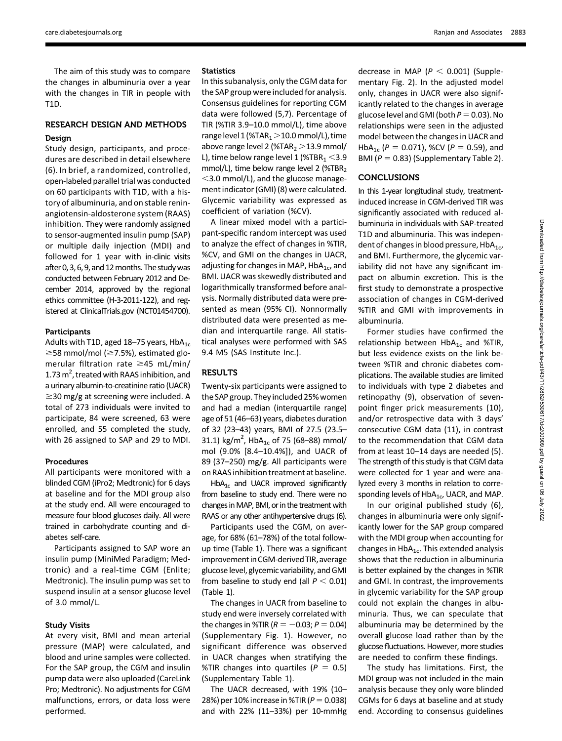The aim of this study was to compare the changes in albuminuria over a year with the changes in TIR in people with T1D.

# RESEARCH DESIGN AND METHODS Design

Study design, participants, and procedures are described in detail elsewhere (6). In brief, a randomized, controlled, open-labeled parallel trial was conducted on 60 participants with T1D, with a history of albuminuria, and on stable reninangiotensin-aldosterone system (RAAS) inhibition. They were randomly assigned to sensor-augmented insulin pump (SAP) or multiple daily injection (MDI) and followed for 1 year with in-clinic visits after 0, 3, 6, 9, and 12 months. The study was conducted between February 2012 and December 2014, approved by the regional ethics committee (H-3-2011-122), and registered at [ClinicalTrials.gov](http://ClinicalTrials.gov) (NCT01454700).

#### Participants

Adults with T1D, aged 18-75 years,  $HbA_{1c}$  $\ge$ 58 mmol/mol ( $\ge$ 7.5%), estimated glomerular filtration rate  $\geq$ 45 mL/min/ 1.73  $m^2$ , treated with RAAS inhibition, and a urinary albumin-to-creatinine ratio (UACR)  $\geq$ 30 mg/g at screening were included. A total of 273 individuals were invited to participate, 84 were screened, 63 were enrolled, and 55 completed the study, with 26 assigned to SAP and 29 to MDI.

#### Procedures

All participants were monitored with a blinded CGM (iPro2; Medtronic) for 6 days at baseline and for the MDI group also at the study end. All were encouraged to measure four blood glucoses daily. All were trained in carbohydrate counting and diabetes self-care.

Participants assigned to SAP wore an insulin pump (MiniMed Paradigm; Medtronic) and a real-time CGM (Enlite; Medtronic). The insulin pump was set to suspend insulin at a sensor glucose level of 3.0 mmol/L.

#### Study Visits

At every visit, BMI and mean arterial pressure (MAP) were calculated, and blood and urine samples were collected. For the SAP group, the CGM and insulin pump data were also uploaded (CareLink Pro; Medtronic). No adjustments for CGM malfunctions, errors, or data loss were performed.

### **Statistics**

In this subanalysis, only the CGM data for the SAP group were included for analysis. Consensus guidelines for reporting CGM data were followed (5,7). Percentage of TIR (%TIR 3.9–10.0 mmol/L), time above range level  $1$  (%TAR<sub>1</sub> $>$ 10.0 mmol/L), time above range level 2 (%TAR $_2$  > 13.9 mmol/ L), time below range level 1 (%TBR $_1$  < 3.9 mmol/L), time below range level 2 (%TBR<sub>2</sub>  $<$ 3.0 mmol/L), and the glucose management indicator (GMI) (8) were calculated. Glycemic variability was expressed as coefficient of variation (%CV).

A linear mixed model with a participant-specific random intercept was used to analyze the effect of changes in %TIR, %CV, and GMI on the changes in UACR, adjusting for changes in MAP,  $HbA_{1c}$ , and BMI. UACR was skewedly distributed and logarithmically transformed before analysis. Normally distributed data were presented as mean (95% CI). Nonnormally distributed data were presented as median and interquartile range. All statistical analyses were performed with SAS 9.4 M5 (SAS Institute Inc.).

## RESULTS

Twenty-six participants were assigned to the SAP group. They included 25% women and had a median (interquartile range) age of 51 (46–63) years, diabetes duration of 32 (23–43) years, BMI of 27.5 (23.5– 31.1) kg/m<sup>2</sup>, HbA<sub>1c</sub> of 75 (68–88) mmol/ mol (9.0% [8.4–10.4%]), and UACR of 89 (37–250) mg/g. All participants were on RAAS inhibition treatment at baseline.

 $HbA_{1c}$  and UACR improved significantly from baseline to study end. There were no changes inMAP, BMI, or in the treatment with RAAS or any other antihypertensive drugs (6).

Participants used the CGM, on average, for 68% (61–78%) of the total followup time (Table 1). There was a significant improvement in CGM-derived TIR, average glucose level, glycemic variability, and GMI from baseline to study end (all  $P < 0.01$ ) (Table 1).

The changes in UACR from baseline to study end were inversely correlated with the changes in %TIR ( $R = -0.03; P = 0.04$ ) [\(Supplementary Fig. 1](https://doi.org/10.2337/figshare.12777122)). However, no significant difference was observed in UACR changes when stratifying the %TIR changes into quartiles ( $P = 0.5$ ) [\(Supplementary Table 1\)](https://doi.org/10.2337/figshare.12777122).

The UACR decreased, with 19% (10– 28%) per 10% increase in %TIR ( $P= 0.038$ ) and with 22% (11–33%) per 10-mmHg decrease in MAP ( $P < 0.001$ ) [\(Supple](https://doi.org/10.2337/figshare.12777122)[mentary Fig. 2\)](https://doi.org/10.2337/figshare.12777122). In the adjusted model only, changes in UACR were also significantly related to the changes in average glucose level and GMI (both  $P=0.03$ ). No relationships were seen in the adjusted model between the changes in UACR and HbA<sub>1c</sub> ( $P = 0.071$ ), %CV ( $P = 0.59$ ), and BMI ( $P = 0.83$ ) ([Supplementary Table 2\)](https://doi.org/10.2337/figshare.12777122).

### **CONCLUSIONS**

In this 1-year longitudinal study, treatmentinduced increase in CGM-derived TIR was significantly associated with reduced albuminuria in individuals with SAP-treated T1D and albuminuria. This was independent of changes in blood pressure,  $HbA_{1c}$ , and BMI. Furthermore, the glycemic variability did not have any significant impact on albumin excretion. This is the first study to demonstrate a prospective association of changes in CGM-derived %TIR and GMI with improvements in albuminuria.

Former studies have confirmed the relationship between  $HbA_{1c}$  and %TIR, but less evidence exists on the link between %TIR and chronic diabetes complications. The available studies are limited to individuals with type 2 diabetes and retinopathy (9), observation of sevenpoint finger prick measurements (10), and/or retrospective data with 3 days' consecutive CGM data (11), in contrast to the recommendation that CGM data from at least 10–14 days are needed (5). The strength of this study is that CGM data were collected for 1 year and were analyzed every 3 months in relation to corresponding levels of  $HbA_{1c}$ , UACR, and MAP.

In our original published study (6), changes in albuminuria were only significantly lower for the SAP group compared with the MDI group when accounting for changes in  $HbA_{1c}$ . This extended analysis shows that the reduction in albuminuria is better explained by the changes in %TIR and GMI. In contrast, the improvements in glycemic variability for the SAP group could not explain the changes in albuminuria. Thus, we can speculate that albuminuria may be determined by the overall glucose load rather than by the glucose fluctuations. However, more studies are needed to confirm these findings.

The study has limitations. First, the MDI group was not included in the main analysis because they only wore blinded CGMs for 6 days at baseline and at study end. According to consensus guidelines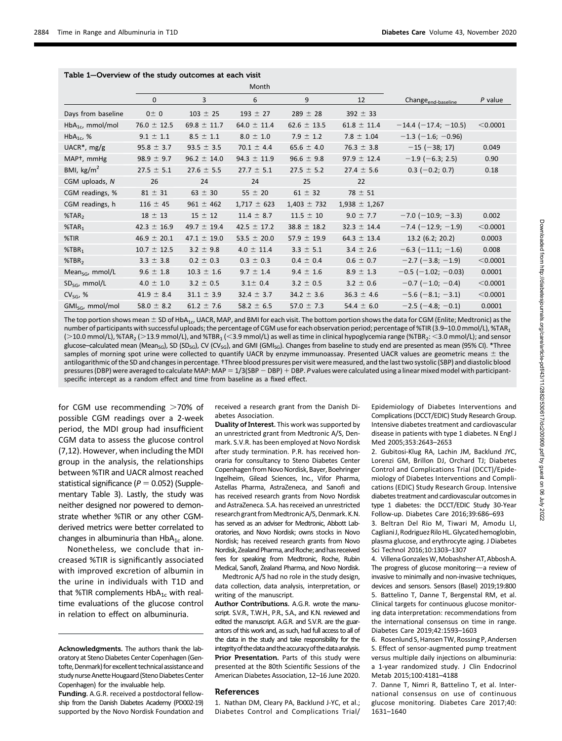|                                |                 |                 | Month           |                 |                   |                                |           |
|--------------------------------|-----------------|-----------------|-----------------|-----------------|-------------------|--------------------------------|-----------|
|                                | $\mathbf{0}$    | 3               | 6               | 9               | 12                | Change <sub>end-baseline</sub> | $P$ value |
| Days from baseline             | $0 \pm 0$       | $103 \pm 25$    | $193 \pm 27$    | $289 \pm 28$    | $392 \pm 33$      |                                |           |
| $HbA_{1c}$ , mmol/mol          | $76.0 \pm 12.5$ | 69.8 $\pm$ 11.7 | $64.0 \pm 11.4$ | $62.6 \pm 13.5$ | $61.8 \pm 11.4$   | $-14.4$ ( $-17.4$ ; $-10.5$ )  | < 0.0001  |
| $HbA_{1c}$ , %                 | $9.1 \pm 1.1$   | $8.5 \pm 1.1$   | $8.0 \pm 1.0$   | $7.9 \pm 1.2$   | $7.8 \pm 1.04$    | $-1.3$ (-1.6; -0.96)           |           |
| UACR <sup>*</sup> , mg/g       | $95.8 \pm 3.7$  | $93.5 \pm 3.5$  | $70.1 \pm 4.4$  | $65.6 \pm 4.0$  | 76.3 $\pm$ 3.8    | $-15$ ( $-38; 17$ )            | 0.049     |
| MAP <sup>+</sup> , mmHg        | $98.9 \pm 9.7$  | $96.2 \pm 14.0$ | $94.3 \pm 11.9$ | $96.6 \pm 9.8$  | $97.9 \pm 12.4$   | $-1.9$ (-6.3; 2.5)             | 0.90      |
| BMI, $\text{kg/m}^2$           | $27.5 \pm 5.1$  | $27.6 \pm 5.5$  | $27.7 \pm 5.1$  | $27.5 \pm 5.2$  | $27.4 \pm 5.6$    | $0.3$ (-0.2; 0.7)              | 0.18      |
| CGM uploads, N                 | 26              | 24              | 24              | 25              | 22                |                                |           |
| CGM readings, %                | $81 \pm 31$     | $63 \pm 30$     | $55 \pm 20$     | $61 \pm 32$     | $78 \pm 51$       |                                |           |
| CGM readings, h                | $116 \pm 45$    | $961 \pm 462$   | $1,717 \pm 623$ | $1,403 \pm 732$ | $1,938 \pm 1,267$ |                                |           |
| % <sub>7</sub> AR <sub>2</sub> | $18 \pm 13$     | $15 \pm 12$     | $11.4 \pm 8.7$  | $11.5 \pm 10$   | $9.0 \pm 7.7$     | $-7.0$ ( $-10.9$ ; $-3.3$ )    | 0.002     |
| % <sub>7</sub> AR <sub>1</sub> | $42.3 \pm 16.9$ | 49.7 $\pm$ 19.4 | 42.5 $\pm$ 17.2 | $38.8 \pm 18.2$ | $32.3 \pm 14.4$   | $-7.4$ ( $-12.9$ ; $-1.9$ )    | < 0.0001  |
| %TIR                           | $46.9 \pm 20.1$ | $47.1 \pm 19.0$ | 53.5 $\pm$ 20.0 | $57.9 \pm 19.9$ | 64.3 $\pm$ 13.4   | 13.2 (6.2; 20.2)               | 0.0003    |
| $%$ TBR <sub>1</sub>           | $10.7 \pm 12.5$ | $3.2 \pm 9.8$   | $4.0 \pm 11.4$  | $3.3 \pm 5.1$   | $3.4 \pm 2.6$     | $-6.3$ ( $-11.1$ ; $-1.6$ )    | 0.008     |
| $%$ TBR <sub>2</sub>           | $3.3 \pm 3.8$   | $0.2 \pm 0.3$   | $0.3 \pm 0.3$   | $0.4 \pm 0.4$   | $0.6 \pm 0.7$     | $-2.7$ ( $-3.8$ ; $-1.9$ )     | < 0.0001  |
| Mean $_{SG}$ , mmol/L          | $9.6 \pm 1.8$   | $10.3 \pm 1.6$  | $9.7 \pm 1.4$   | $9.4 \pm 1.6$   | $8.9 \pm 1.3$     | $-0.5$ ( $-1.02$ ; $-0.03$ )   | 0.0001    |
| $SD_{SG}$ , mmol/L             | $4.0 \pm 1.0$   | $3.2 \pm 0.5$   | $3.1 \pm 0.4$   | $3.2 \pm 0.5$   | $3.2 \pm 0.6$     | $-0.7$ (-1.0; -0.4)            | < 0.0001  |
| $CV_{SG}$ , %                  | $41.9 \pm 8.4$  | $31.1 \pm 3.9$  | $32.4 \pm 3.7$  | $34.2 \pm 3.6$  | $36.3 \pm 4.6$    | $-5.6$ ( $-8.1$ ; $-3.1$ )     | < 0.0001  |
| $GMI_{SG}$ , mmol/mol          | 58.0 $\pm$ 8.2  | $61.2 \pm 7.6$  | 58.2 $\pm$ 6.5  | 57.0 $\pm$ 7.3  | 54.4 $\pm$ 6.0    | $-2.5$ ( $-4.8$ ; $-0.1$ )     | 0.0001    |

The top portion shows mean  $\pm$  SD of HbA<sub>1c</sub>, UACR, MAP, and BMI for each visit. The bottom portion shows the data for CGM (Enlite; Medtronic) as the number of participants with successful uploads; the percentage of CGM use for each observation period; percentage of %TIR (3.9-10.0 mmol/L), %TAR1  $(>10.0$  mmol/L), %TAR<sub>2</sub> ( $>13.9$  mmol/L), and %TBR<sub>1</sub> (<3.9 mmol/L) as well as time in clinical hypoglycemia range (%TBR<sub>2</sub>: <3.0 mmol/L); and sensor glucose–calculated mean (Mean<sub>SG</sub>), SD (SD<sub>SG</sub>), CV (CV<sub>SG</sub>), and GMI (GMI<sub>SG</sub>). Changes from baseline to study end are presented as mean (95% CI). \*Three samples of morning spot urine were collected to quantify UACR by enzyme immunoassay. Presented UACR values are geometric means  $\pm$  the antilogarithmic of the SD and changes in percentage. †Three blood pressures per visit were measured, and the last two systolic (SBP) and diastolic blood pressures (DBP) were averaged to calculate MAP: MAP = 1/3(SBP - DBP) + DBP. P values were calculated using a linear mixed model with participantspecific intercept as a random effect and time from baseline as a fixed effect.

for CGM use recommending  $>70\%$  of possible CGM readings over a 2-week period, the MDI group had insufficient CGM data to assess the glucose control (7,12). However, when including the MDI group in the analysis, the relationships between %TIR and UACR almost reached statistical significance ( $P = 0.052$ ) ([Supple](https://doi.org/10.2337/figshare.12777122)[mentary Table 3\)](https://doi.org/10.2337/figshare.12777122). Lastly, the study was neither designed nor powered to demonstrate whether %TIR or any other CGMderived metrics were better correlated to changes in albuminuria than  $HbA_{1c}$  alone.

Nonetheless, we conclude that increased %TIR is significantly associated with improved excretion of albumin in the urine in individuals with T1D and that %TIR complements  $HbA_{1c}$  with realtime evaluations of the glucose control in relation to effect on albuminuria.

received a research grant from the Danish Diabetes Association.

Duality of Interest. This work was supported by an unrestricted grant from Medtronic A/S, Denmark. S.V.R. has been employed at Novo Nordisk after study termination. P.R. has received honoraria for consultancy to Steno Diabetes Center Copenhagen from Novo Nordisk, Bayer, Boehringer Ingelheim, Gilead Sciences, Inc., Vifor Pharma, Astellas Pharma, AstraZeneca, and Sanofi and has received research grants from Novo Nordisk and AstraZeneca. S.A. has received an unrestricted research grant from Medtronic A/S, Denmark. K.N. has served as an adviser for Medtronic, Abbott Laboratories, and Novo Nordisk; owns stocks in Novo Nordisk; has received research grants from Novo Nordisk, Zealand Pharma, and Roche; and has received fees for speaking from Medtronic, Roche, Rubin Medical, Sanofi, Zealand Pharma, and Novo Nordisk.

Medtronic A/S had no role in the study design, data collection, data analysis, interpretation, or writing of the manuscript.

Author Contributions. A.G.R. wrote the manuscript. S.V.R., T.W.H., P.R., S.A., and K.N. reviewed and edited the manuscript. A.G.R. and S.V.R. are the guarantors of this work and, as such, had full access to all of the data in the study and take responsibility for the integrity of the data and the accuracy of the data analysis. Prior Presentation. Parts of this study were presented at the 80th Scientific Sessions of the American Diabetes Association, 12–16 June 2020.

#### References

1. Nathan DM, Cleary PA, Backlund J-YC, et al.; Diabetes Control and Complications Trial/ Epidemiology of Diabetes Interventions and Complications (DCCT/EDIC) Study Research Group. Intensive diabetes treatment and cardiovascular disease in patients with type 1 diabetes. N Engl J Med 2005;353:2643–2653

2. Gubitosi-Klug RA, Lachin JM, Backlund JYC, Lorenzi GM, Brillon DJ, Orchard TJ; Diabetes Control and Complications Trial (DCCT)/Epidemiology of Diabetes Interventions and Complications (EDIC) Study Research Group. Intensive diabetes treatment and cardiovascular outcomes in type 1 diabetes: the DCCT/EDIC Study 30-Year Follow-up. Diabetes Care 2016;39:686–693

3. Beltran Del Rio M, Tiwari M, Amodu LI, Cagliani J, Rodriguez Rilo HL. Glycated hemoglobin, plasma glucose, and erythrocyte aging. J Diabetes Sci Technol 2016;10:1303–1307

4. Villena GonzalesW,Mobashsher AT, Abbosh A. The progress of glucose monitoring-a review of invasive to minimally and non-invasive techniques, devices and sensors. Sensors (Basel) 2019;19:800 5. Battelino T, Danne T, Bergenstal RM, et al. Clinical targets for continuous glucose monitoring data interpretation: recommendations from the international consensus on time in range. Diabetes Care 2019;42:1593–1603

6. Rosenlund S, Hansen TW, Rossing P, Andersen S. Effect of sensor-augmented pump treatment versus multiple daily injections on albuminuria: a 1-year randomized study. J Clin Endocrinol Metab 2015;100:4181–4188

7. Danne T, Nimri R, Battelino T, et al. International consensus on use of continuous glucose monitoring. Diabetes Care 2017;40: 1631–1640

Acknowledgments. The authors thank the laboratory at Steno Diabetes Center Copenhagen (Gentofte, Denmark) for excellent technical assistance and study nurse Anette Hougaard (Steno Diabetes Center Copenhagen) for the invaluable help.

Funding. A.G.R. received a postdoctoral fellowship from the Danish Diabetes Academy (PD002-19) supported by the Novo Nordisk Foundation and